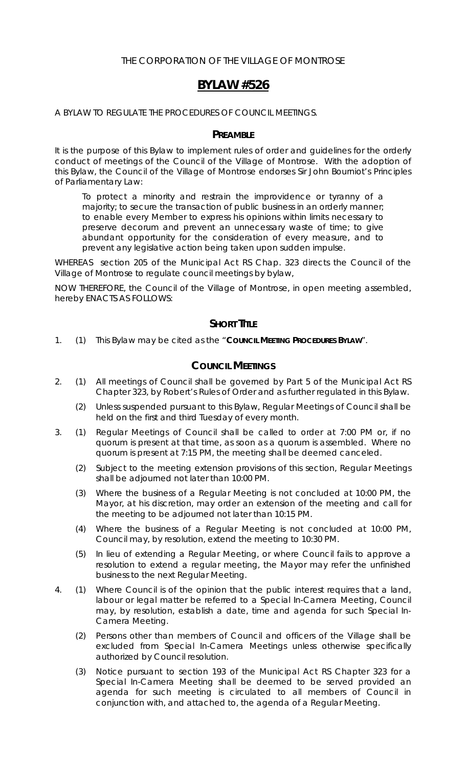### THE CORPORATION OF THE VILLAGE OF MONTROSE

# **BYLAW #526**

A BYLAW TO REGULATE THE PROCEDURES OF COUNCIL MEETINGS.

#### **PREAMBLE**

It is the purpose of this Bylaw to implement rules of order and guidelines for the orderly conduct of meetings of the Council of the Village of Montrose. With the adoption of this Bylaw, the Council of the Village of Montrose endorses Sir John Bourniot's Principles of Parliamentary Law:

*To protect a minority and restrain the improvidence or tyranny of a majority; to secure the transaction of public business in an orderly manner; to enable every Member to express his opinions within limits necessary to preserve decorum and prevent an unnecessary waste of time; to give abundant opportunity for the consideration of every measure, and to prevent any legislative action being taken upon sudden impulse.*

WHEREAS section 205 of the *Municipal Act* RS Chap. 323 directs the Council of the Village of Montrose to regulate council meetings by bylaw,

NOW THEREFORE, the Council of the Village of Montrose, in open meeting assembled, hereby ENACTS AS FOLLOWS:

### **SHORT TITLE**

1. (1) This Bylaw may be cited as the "**COUNCIL MEETING PROCEDURES BYLAW**".

### **COUNCIL MEETINGS**

- 2. (1) All meetings of Council shall be governed by Part 5 of the *Municipal Act* RS Chapter 323, by *Robert's Rules of Order* and as further regulated in this Bylaw.
	- (2) Unless suspended pursuant to this Bylaw, Regular Meetings of Council shall be held on the first and third Tuesday of every month.
- 3. (1) Regular Meetings of Council shall be called to order at 7:00 PM or, if no quorum is present at that time, as soon as a quorum is assembled. Where no quorum is present at 7:15 PM, the meeting shall be deemed canceled.
	- (2) Subject to the meeting extension provisions of this section, Regular Meetings shall be adjourned not later than 10:00 PM.
	- (3) Where the business of a Regular Meeting is not concluded at 10:00 PM, the Mayor, at his discretion, may order an extension of the meeting and call for the meeting to be adjourned not later than 10:15 PM.
	- (4) Where the business of a Regular Meeting is not concluded at 10:00 PM, Council may, by resolution, extend the meeting to 10:30 PM.
	- (5) In lieu of extending a Regular Meeting, or where Council fails to approve a resolution to extend a regular meeting, the Mayor may refer the unfinished business to the next Regular Meeting.
- 4. (1) Where Council is of the opinion that the public interest requires that a land, labour or legal matter be referred to a Special In-Camera Meeting, Council may, by resolution, establish a date, time and agenda for such Special In-Camera Meeting.
	- (2) Persons other than members of Council and officers of the Village shall be excluded from Special In-Camera Meetings unless otherwise specifically authorized by Council resolution.
	- (3) Notice pursuant to section 193 of the *Municipal Act* RS Chapter 323 for a Special In-Camera Meeting shall be deemed to be served provided an agenda for such meeting is circulated to all members of Council in conjunction with, and attached to, the agenda of a Regular Meeting.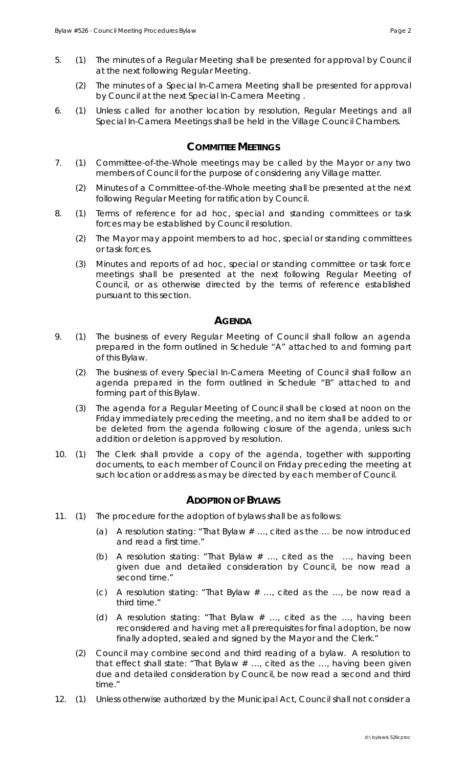- 5. (1) The minutes of a Regular Meeting shall be presented for approval by Council at the next following Regular Meeting.
	- (2) The minutes of a Special In-Camera Meeting shall be presented for approval by Council at the next Special In-Camera Meeting .
- 6. (1) Unless called for another location by resolution, Regular Meetings and all Special In-Camera Meetings shall be held in the Village Council Chambers.

### **COMMITTEE MEETINGS**

- 7. (1) Committee-of-the-Whole meetings may be called by the Mayor or any two members of Council for the purpose of considering any Village matter.
	- (2) Minutes of a Committee-of-the-Whole meeting shall be presented at the next following Regular Meeting for ratification by Council.
- 8. (1) Terms of reference for ad hoc, special and standing committees or task forces may be established by Council resolution.
	- (2) The Mayor may appoint members to ad hoc, special or standing committees or task forces.
	- (3) Minutes and reports of ad hoc, special or standing committee or task force meetings shall be presented at the next following Regular Meeting of Council, or as otherwise directed by the terms of reference established pursuant to this section.

### **AGENDA**

- 9. (1) The business of every Regular Meeting of Council shall follow an agenda prepared in the form outlined in Schedule "A" attached to and forming part of this Bylaw.
	- (2) The business of every Special In-Camera Meeting of Council shall follow an agenda prepared in the form outlined in Schedule "B" attached to and forming part of this Bylaw.
	- (3) The agenda for a Regular Meeting of Council shall be closed at noon on the Friday immediately preceding the meeting, and no item shall be added to or be deleted from the agenda following closure of the agenda, unless such addition or deletion is approved by resolution.
- 10. (1) The Clerk shall provide a copy of the agenda, together with supporting documents, to each member of Council on Friday preceding the meeting at such location or address as may be directed by each member of Council.

## **ADOPTION OF BYLAWS**

- 11. (1) The procedure for the adoption of bylaws shall be as follows:
	- (a) A resolution stating: "That Bylaw  $#$  ..., cited as the ... be now introduced and read a first time."
	- (b) A resolution stating: "That Bylaw  $#$  ..., cited as the ..., having been given due and detailed consideration by Council, be now read a second time."
	- (c) A resolution stating: "That Bylaw # …, cited as the …, be now read a third time."
	- (d) A resolution stating: "That Bylaw  $#$  ..., cited as the ..., having been reconsidered and having met all prerequisites for final adoption, be now finally adopted, sealed and signed by the Mayor and the Clerk."
	- (2) Council may combine second and third reading of a bylaw. A resolution to that effect shall state: "That Bylaw # …, cited as the …, having been given due and detailed consideration by Council, be now read a second and third time."
- 12. (1) Unless otherwise authorized by the *Municipal Act*, Council shall not consider a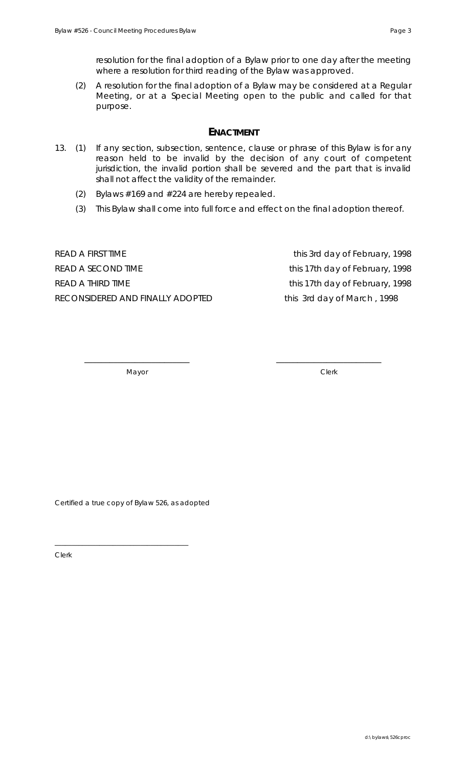resolution for the final adoption of a Bylaw prior to one day after the meeting where a resolution for third reading of the Bylaw was approved.

 (2) A resolution for the final adoption of a Bylaw may be considered at a Regular Meeting, or at a Special Meeting open to the public and called for that purpose.

### **ENACTMENT**

- 13. (1) If any section, subsection, sentence, clause or phrase of this Bylaw is for any reason held to be invalid by the decision of any court of competent jurisdiction, the invalid portion shall be severed and the part that is invalid shall not affect the validity of the remainder.
	- (2) Bylaws #169 and #224 are hereby repealed.
	- (3) This Bylaw shall come into full force and effect on the final adoption thereof.

\_\_\_\_\_\_\_\_\_\_\_\_\_\_\_\_\_\_\_\_\_\_\_\_\_ \_\_\_\_\_\_\_\_\_\_\_\_\_\_\_\_\_\_\_\_\_\_\_\_\_

READ A FIRST TIME THE TEXT OF THE TEXT TIME THE STATE THAT THE TEXT OF THE STATE THAT THE STATE THE STATE THE STATE THE STATE THE STATE THE STATE THE STATE THE STATE THE STATE THE STATE THE STATE THE STATE THE STATE THE ST READ A SECOND TIME THE THIS 17th day of February, 1998 READ A THIRD TIME TERM CONTROLLED TIME this 17th day of February, 1998 RECONSIDERED AND FINALLY ADOPTED this 3rd day of March, 1998

Mayor Clerk

Certified a true copy of Bylaw 526, as adopted

\_\_\_\_\_\_\_\_\_\_\_\_\_\_\_\_\_\_\_\_\_\_\_\_\_\_\_\_\_\_\_\_\_\_\_\_\_\_\_

Clerk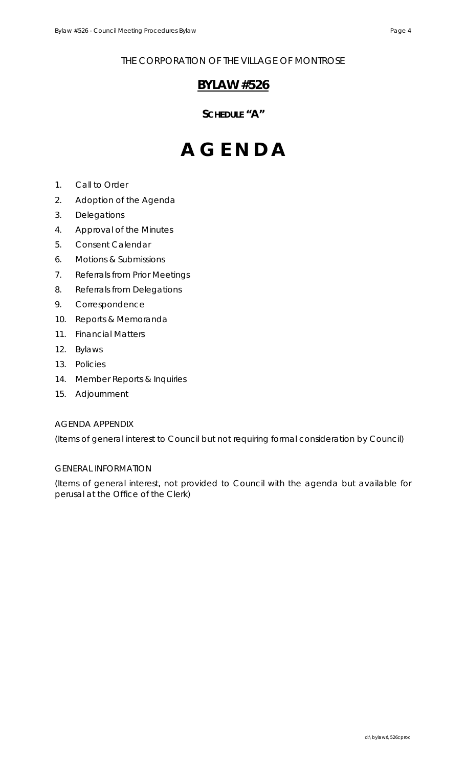THE CORPORATION OF THE VILLAGE OF MONTROSE

# **BYLAW #526**

# **SCHEDULE "A"**

# **A G E N D A**

- 1. Call to Order
- 2. Adoption of the Agenda
- 3. Delegations
- 4. Approval of the Minutes
- 5. Consent Calendar
- 6. Motions & Submissions
- 7. Referrals from Prior Meetings
- 8. Referrals from Delegations
- 9. Correspondence
- 10. Reports & Memoranda
- 11. Financial Matters
- 12. Bylaws
- 13. Policies
- 14. Member Reports & Inquiries
- 15. Adjournment

#### AGENDA APPENDIX

(Items of general interest to Council but not requiring formal consideration by Council)

#### GENERAL INFORMATION

(Items of general interest, not provided to Council with the agenda but available for perusal at the Office of the Clerk)